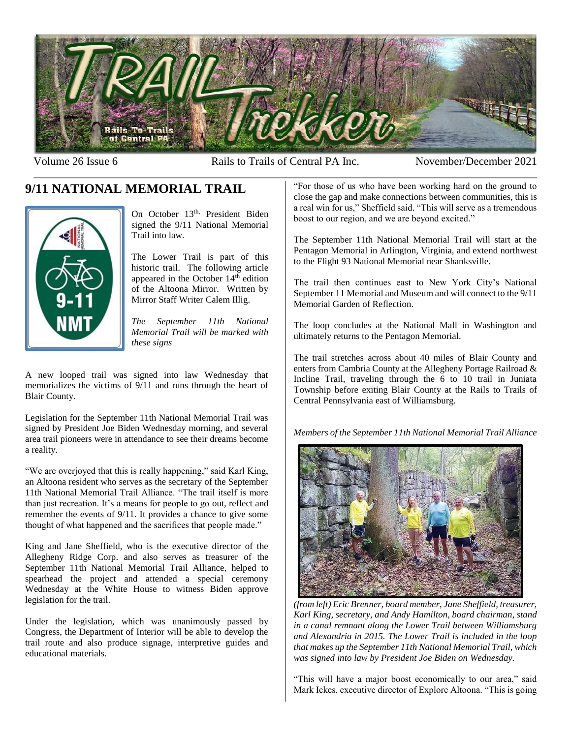

Volume 26 Issue 6 **Rails to Trails of Central PA Inc.** November/December 2021

# **9/11 NATIONAL MEMORIAL TRAIL**



On October 13<sup>th,</sup> President Biden signed the 9/11 National Memorial Trail into law.

The Lower Trail is part of this historic trail. The following article appeared in the October  $14<sup>th</sup>$  edition of the Altoona Mirror. Written by Mirror Staff Writer Calem Illig.

*The September 11th National Memorial Trail will be marked with these signs*

A new looped trail was signed into law Wednesday that memorializes the victims of 9/11 and runs through the heart of Blair County.

Legislation for the September 11th National Memorial Trail was signed by President Joe Biden Wednesday morning, and several area trail pioneers were in attendance to see their dreams become a reality.

"We are overjoyed that this is really happening," said Karl King, an Altoona resident who serves as the secretary of the September 11th National Memorial Trail Alliance. "The trail itself is more than just recreation. It's a means for people to go out, reflect and remember the events of 9/11. It provides a chance to give some thought of what happened and the sacrifices that people made."

King and Jane Sheffield, who is the executive director of the Allegheny Ridge Corp. and also serves as treasurer of the September 11th National Memorial Trail Alliance, helped to spearhead the project and attended a special ceremony Wednesday at the White House to witness Biden approve legislation for the trail.

Under the legislation, which was unanimously passed by Congress, the Department of Interior will be able to develop the trail route and also produce signage, interpretive guides and educational materials.

"For those of us who have been working hard on the ground to close the gap and make connections between communities, this is a real win for us," Sheffield said. "This will serve as a tremendous boost to our region, and we are beyond excited."

The September 11th National Memorial Trail will start at the Pentagon Memorial in Arlington, Virginia, and extend northwest to the Flight 93 National Memorial near Shanksville.

The trail then continues east to New York City's National September 11 Memorial and Museum and will connect to the 9/11 Memorial Garden of Reflection.

The loop concludes at the National Mall in Washington and ultimately returns to the Pentagon Memorial.

The trail stretches across about 40 miles of Blair County and enters from Cambria County at the Allegheny Portage Railroad & Incline Trail, traveling through the 6 to 10 trail in Juniata Township before exiting Blair County at the Rails to Trails of Central Pennsylvania east of Williamsburg.

*Members of the September 11th National Memorial Trail Alliance* 



*(from left) Eric Brenner, board member, Jane Sheffield, treasurer, Karl King, secretary, and Andy Hamilton, board chairman, stand in a canal remnant along the Lower Trail between Williamsburg and Alexandria in 2015. The Lower Trail is included in the loop that makes up the September 11th National Memorial Trail, which was signed into law by President Joe Biden on Wednesday.*

"This will have a major boost economically to our area," said Mark Ickes, executive director of Explore Altoona. "This is going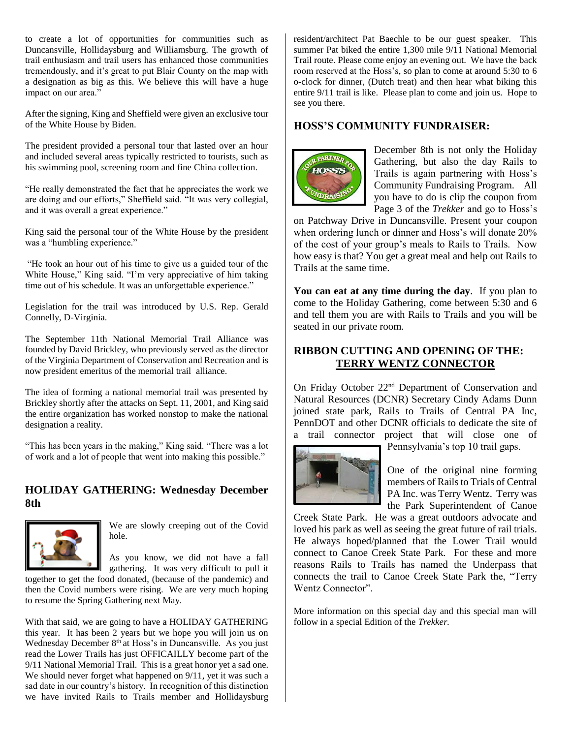to create a lot of opportunities for communities such as Duncansville, Hollidaysburg and Williamsburg. The growth of trail enthusiasm and trail users has enhanced those communities tremendously, and it's great to put Blair County on the map with a designation as big as this. We believe this will have a huge impact on our area."

After the signing, King and Sheffield were given an exclusive tour of the White House by Biden.

The president provided a personal tour that lasted over an hour and included several areas typically restricted to tourists, such as his swimming pool, screening room and fine China collection.

"He really demonstrated the fact that he appreciates the work we are doing and our efforts," Sheffield said. "It was very collegial, and it was overall a great experience."

King said the personal tour of the White House by the president was a "humbling experience."

"He took an hour out of his time to give us a guided tour of the White House," King said. "I'm very appreciative of him taking time out of his schedule. It was an unforgettable experience."

Legislation for the trail was introduced by U.S. Rep. Gerald Connelly, D-Virginia.

The September 11th National Memorial Trail Alliance was founded by David Brickley, who previously served as the director of the Virginia Department of Conservation and Recreation and is now president emeritus of the memorial trail alliance.

The idea of forming a national memorial trail was presented by Brickley shortly after the attacks on Sept. 11, 2001, and King said the entire organization has worked nonstop to make the national designation a reality.

"This has been years in the making," King said. "There was a lot of work and a lot of people that went into making this possible."

### **HOLIDAY GATHERING: Wednesday December 8th**



We are slowly creeping out of the Covid hole.

As you know, we did not have a fall gathering. It was very difficult to pull it

together to get the food donated, (because of the pandemic) and then the Covid numbers were rising. We are very much hoping to resume the Spring Gathering next May.

With that said, we are going to have a HOLIDAY GATHERING this year. It has been 2 years but we hope you will join us on Wednesday December 8<sup>th</sup> at Hoss's in Duncansville. As you just read the Lower Trails has just OFFICAILLY become part of the 9/11 National Memorial Trail. This is a great honor yet a sad one. We should never forget what happened on 9/11, yet it was such a sad date in our country's history. In recognition of this distinction we have invited Rails to Trails member and Hollidaysburg

resident/architect Pat Baechle to be our guest speaker. This summer Pat biked the entire 1,300 mile 9/11 National Memorial Trail route. Please come enjoy an evening out. We have the back room reserved at the Hoss's, so plan to come at around 5:30 to 6 o-clock for dinner, (Dutch treat) and then hear what biking this entire 9/11 trail is like. Please plan to come and join us. Hope to see you there.

## **HOSS'S COMMUNITY FUNDRAISER:**



December 8th is not only the Holiday Gathering, but also the day Rails to Trails is again partnering with Hoss's Community Fundraising Program. All you have to do is clip the coupon from Page 3 of the *Trekker* and go to Hoss's

on Patchway Drive in Duncansville. Present your coupon when ordering lunch or dinner and Hoss's will donate 20% of the cost of your group's meals to Rails to Trails. Now how easy is that? You get a great meal and help out Rails to Trails at the same time.

**You can eat at any time during the day**. If you plan to come to the Holiday Gathering, come between 5:30 and 6 and tell them you are with Rails to Trails and you will be seated in our private room.

## **RIBBON CUTTING AND OPENING OF THE: TERRY WENTZ CONNECTOR**

On Friday October 22nd Department of Conservation and Natural Resources (DCNR) Secretary Cindy Adams Dunn joined state park, Rails to Trails of Central PA Inc, PennDOT and other DCNR officials to dedicate the site of a trail connector project that will close one of



Pennsylvania's top 10 trail gaps.

One of the original nine forming members of Rails to Trials of Central PA Inc. was Terry Wentz. Terry was the Park Superintendent of Canoe

Creek State Park. He was a great outdoors advocate and loved his park as well as seeing the great future of rail trials. He always hoped/planned that the Lower Trail would connect to Canoe Creek State Park. For these and more reasons Rails to Trails has named the Underpass that connects the trail to Canoe Creek State Park the, "Terry Wentz Connector".

More information on this special day and this special man will follow in a special Edition of the *Trekker.*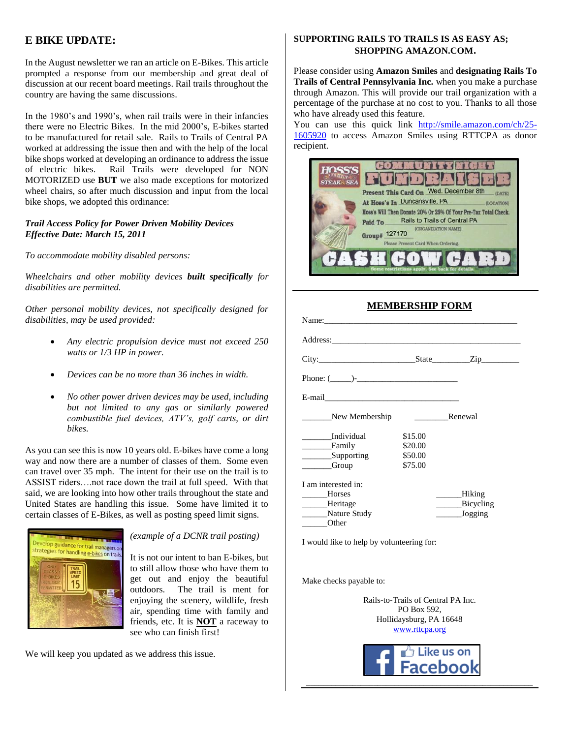## **E BIKE UPDATE:**

In the August newsletter we ran an article on E-Bikes. This article prompted a response from our membership and great deal of discussion at our recent board meetings. Rail trails throughout the country are having the same discussions.

In the 1980's and 1990's, when rail trails were in their infancies there were no Electric Bikes. In the mid 2000's, E-bikes started to be manufactured for retail sale. Rails to Trails of Central PA worked at addressing the issue then and with the help of the local bike shops worked at developing an ordinance to address the issue of electric bikes. Rail Trails were developed for NON MOTORIZED use **BUT** we also made exceptions for motorized wheel chairs, so after much discussion and input from the local bike shops, we adopted this ordinance:

#### *Trail Access Policy for Power Driven Mobility Devices Effective Date: March 15, 2011*

*To accommodate mobility disabled persons:* 

*Wheelchairs and other mobility devices built specifically for disabilities are permitted.* 

*Other personal mobility devices, not specifically designed for disabilities, may be used provided:* 

- *Any electric propulsion device must not exceed 250 watts or 1/3 HP in power.*
- *Devices can be no more than 36 inches in width.*
- *No other power driven devices may be used, including but not limited to any gas or similarly powered combustible fuel devices, ATV's, golf carts, or dirt bikes.*

As you can see this is now 10 years old. E-bikes have come a long way and now there are a number of classes of them. Some even can travel over 35 mph. The intent for their use on the trail is to ASSIST riders….not race down the trail at full speed. With that said, we are looking into how other trails throughout the state and United States are handling this issue. Some have limited it to certain classes of E-Bikes, as well as posting speed limit signs.



#### *(example of a DCNR trail posting)*

It is not our intent to ban E-bikes, but to still allow those who have them to get out and enjoy the beautiful outdoors. The trail is ment for enjoying the scenery, wildlife, fresh air, spending time with family and friends, etc. It is **NOT** a raceway to see who can finish first!

We will keep you updated as we address this issue.

#### **SUPPORTING RAILS TO TRAILS IS AS EASY AS; SHOPPING AMAZON.COM.**

Please consider using **Amazon Smiles** and **designating Rails To Trails of Central Pennsylvania Inc.** when you make a purchase through Amazon. This will provide our trail organization with a percentage of the purchase at no cost to you. Thanks to all those who have already used this feature.

You can use this quick link http://smile.amazon.com/ch/25- 1605920 to access Amazon Smiles using RTTCPA as donor recipient.

| <b>HOSS'S</b><br><b>STEAKS SEA</b> |                                                                                                                    |
|------------------------------------|--------------------------------------------------------------------------------------------------------------------|
|                                    | Present This Card On Wed. December 8th<br><b>(DATE</b><br>At Hoss's In Duncansville, PA<br>(LOCATION)              |
|                                    | Hoss's Will Then Donate 20% Or 25% Of Your Pre-Tax Total Check.<br>Rails to Trails of Central PA<br><b>Paid To</b> |
|                                    | (ORGANIZATION NAME)<br>Group# 127170<br>Please Present Card When Ordering.                                         |
|                                    | restrictions<br>apply.<br>See back for detail                                                                      |

### **MEMBERSHIP FORM**

| Phone: $($ $)$ -      |         |           |  |
|-----------------------|---------|-----------|--|
|                       |         |           |  |
| New Membership        |         | Renewal   |  |
| Individual            | \$15.00 |           |  |
| <b>Example</b> Family | \$20.00 |           |  |
| <b>Supporting</b>     | \$50.00 |           |  |
| <b>Croup</b>          | \$75.00 |           |  |
| I am interested in:   |         |           |  |
| Horses                |         | Hiking    |  |
| Heritage              |         | Bicycling |  |
| Nature Study          |         | Jogging   |  |
| Other                 |         |           |  |

I would like to help by volunteering for:

Make checks payable to:

Rails-to-Trails of Central PA Inc. PO Box 592, Hollidaysburg, PA 16648 www.rttcpa.org